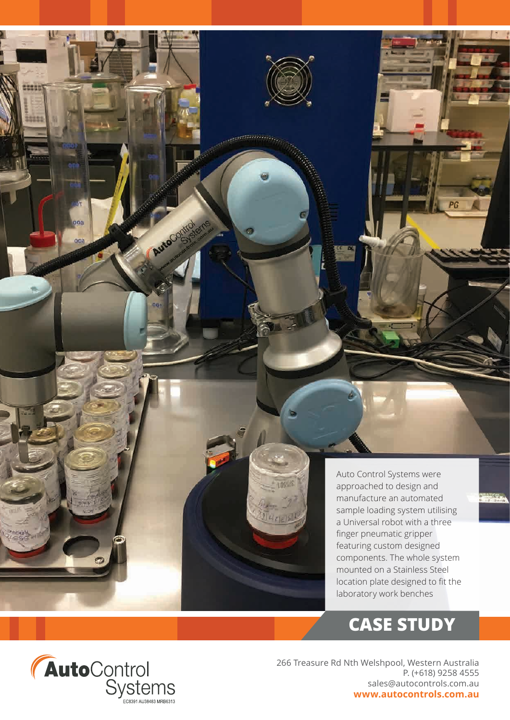Auto Control Systems were approached to design and manufacture an automated sample loading system utilising a Universal robot with a three finger pneumatic gripper featuring custom designed components. The whole system mounted on a Stainless Steel location plate designed to fit the laboratory work benches

# **CASE STUDY**



teas

0O.

Jugue

**ACCEPTANCE** 

 $06 - 5$ 

Auto

266 Treasure Rd Nth Welshpool, Western Australia P. (+618) 9258 4555 sales@autocontrols.com.au **www.autocontrols.com.au**